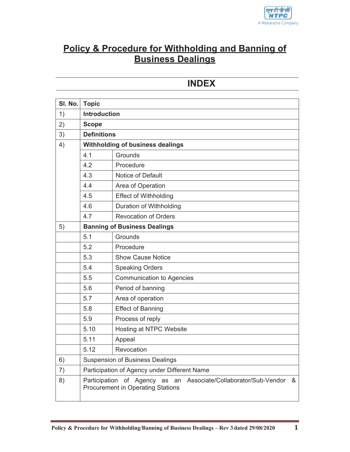

# **Policy & Procedure for Withholding and Banning of Business Dealings**

# **INDEX**

| SI. No. | <b>Topic</b>                                                                                                        |                                  |
|---------|---------------------------------------------------------------------------------------------------------------------|----------------------------------|
| 1)      | <b>Introduction</b>                                                                                                 |                                  |
| 2)      | <b>Scope</b>                                                                                                        |                                  |
| 3)      | <b>Definitions</b>                                                                                                  |                                  |
| 4)      | Withholding of business dealings                                                                                    |                                  |
|         | 4.1                                                                                                                 | Grounds                          |
|         | 4.2                                                                                                                 | Procedure                        |
|         | 4.3                                                                                                                 | Notice of Default                |
|         | 4.4                                                                                                                 | Area of Operation                |
|         | 4.5                                                                                                                 | <b>Effect of Withholding</b>     |
|         | 4.6                                                                                                                 | Duration of Withholding          |
|         | 4.7                                                                                                                 | <b>Revocation of Orders</b>      |
| 5)      | <b>Banning of Business Dealings</b>                                                                                 |                                  |
|         | 5.1                                                                                                                 | Grounds                          |
|         | 5.2                                                                                                                 | Procedure                        |
|         | 5.3                                                                                                                 | <b>Show Cause Notice</b>         |
|         | 5.4                                                                                                                 | <b>Speaking Orders</b>           |
|         | 5.5                                                                                                                 | <b>Communication to Agencies</b> |
|         | 5.6                                                                                                                 | Period of banning                |
|         | 5.7                                                                                                                 | Area of operation                |
|         | 5.8                                                                                                                 | <b>Effect of Banning</b>         |
|         | 5.9                                                                                                                 | Process of reply                 |
|         | 5.10                                                                                                                | Hosting at NTPC Website          |
|         | 5.11                                                                                                                | Appeal                           |
|         | 5.12                                                                                                                | Revocation                       |
| 6)      | <b>Suspension of Business Dealings</b>                                                                              |                                  |
| 7)      | Participation of Agency under Different Name                                                                        |                                  |
| 8)      | Participation of Agency as an<br>Associate/Collaborator/Sub-Vendor<br>&<br><b>Procurement in Operating Stations</b> |                                  |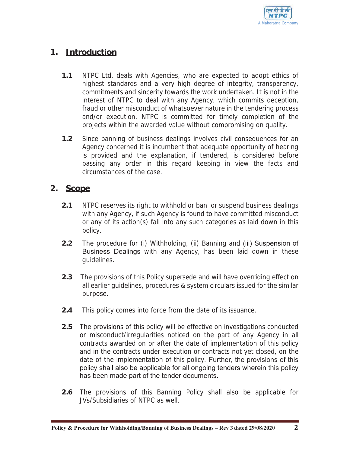

# **1. Introduction**

- **1.1** NTPC Ltd. deals with Agencies, who are expected to adopt ethics of highest standards and a very high degree of integrity, transparency, commitments and sincerity towards the work undertaken. It is not in the interest of NTPC to deal with any Agency, which commits deception, fraud or other misconduct of whatsoever nature in the tendering process and/or execution. NTPC is committed for timely completion of the projects within the awarded value without compromising on quality.
- **1.2** Since banning of business dealings involves civil consequences for an Agency concerned it is incumbent that adequate opportunity of hearing is provided and the explanation, if tendered, is considered before passing any order in this regard keeping in view the facts and circumstances of the case.

# **2. Scope**

- **2.1** NTPC reserves its right to withhold or ban or suspend business dealings with any Agency, if such Agency is found to have committed misconduct or any of its action(s) fall into any such categories as laid down in this policy.
- **2.2** The procedure for (i) Withholding, (ii) Banning and (iii) Suspension of Business Dealings with any Agency, has been laid down in these guidelines.
- **2.3** The provisions of this Policy supersede and will have overriding effect on all earlier guidelines, procedures & system circulars issued for the similar purpose.
- **2.4** This policy comes into force from the date of its issuance.
- **2.5** The provisions of this policy will be effective on investigations conducted or misconduct/irregularities noticed on the part of any Agency in all contracts awarded on or after the date of implementation of this policy and in the contracts under execution or contracts not yet closed, on the date of the implementation of this policy. Further, the provisions of this policy shall also be applicable for all ongoing tenders wherein this policy has been made part of the tender documents.
- **2.6** The provisions of this Banning Policy shall also be applicable for JVs/Subsidiaries of NTPC as well.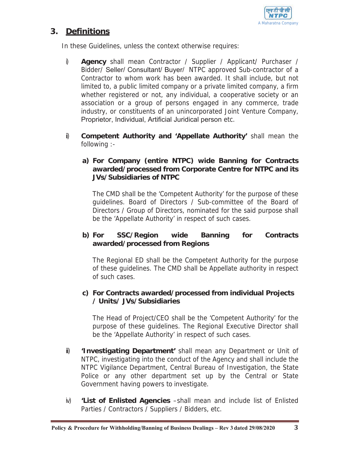

# **3. Definitions**

In these Guidelines, unless the context otherwise requires:

- i) **Agency** shall mean Contractor / Supplier / Applicant/ Purchaser / Bidder/ Seller/ Consultant/ Buyer/ NTPC approved Sub-contractor of a Contractor to whom work has been awarded. It shall include, but not limited to, a public limited company or a private limited company, a firm whether registered or not, any individual, a cooperative society or an association or a group of persons engaged in any commerce, trade industry, or constituents of an unincorporated Joint Venture Company, Proprietor, Individual, Artificial Juridical person etc.
- i) **Competent Authority and 'Appellate Authority'** shall mean the following :-

### **a) For Company (entire NTPC) wide Banning for Contracts awarded/processed from Corporate Centre for NTPC and its JVs/Subsidiaries of NTPC**

The CMD shall be the 'Competent Authority' for the purpose of these guidelines. Board of Directors / Sub-committee of the Board of Directors / Group of Directors, nominated for the said purpose shall be the 'Appellate Authority' in respect of such cases.

### **b) For SSC/Region wide Banning for Contracts awarded/processed from Regions**

The Regional ED shall be the Competent Authority for the purpose of these guidelines. The CMD shall be Appellate authority in respect of such cases.

#### **c) For Contracts awarded/processed from individual Projects / Units/ JVs/Subsidiaries**

The Head of Project/CEO shall be the 'Competent Authority' for the purpose of these guidelines. The Regional Executive Director shall be the 'Appellate Authority' in respect of such cases.

- ii) **'Investigating Department'** shall mean any Department or Unit of NTPC, investigating into the conduct of the Agency and shall include the NTPC Vigilance Department, Central Bureau of Investigation, the State Police or any other department set up by the Central or State Government having powers to investigate.
- iv) **'List of Enlisted Agencies** –shall mean and include list of Enlisted Parties / Contractors / Suppliers / Bidders, etc.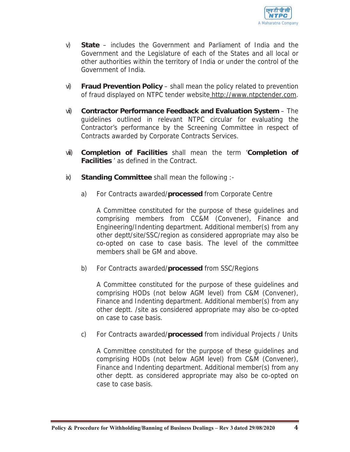

- v) **State**  includes the Government and Parliament of India and the Government and the Legislature of each of the States and all local or other authorities within the territory of India or under the control of the Government of India.
- vi) **Fraud Prevention Policy**  shall mean the policy related to prevention of fraud displayed on NTPC tender website http://www.ntpctender.com.
- vii) **Contractor Performance Feedback and Evaluation System**  The guidelines outlined in relevant NTPC circular for evaluating the Contractor's performance by the Screening Committee in respect of Contracts awarded by Corporate Contracts Services.
- viii) **Completion of Facilities** shall mean the term '**Completion of Facilities** ' as defined in the Contract.
- ix) **Standing Committee** shall mean the following :
	- a) For Contracts awarded/**processed** from Corporate Centre

A Committee constituted for the purpose of these guidelines and comprising members from CC&M (Convener), Finance and Engineering/Indenting department. Additional member(s) from any other deptt/site/SSC/region as considered appropriate may also be co-opted on case to case basis. The level of the committee members shall be GM and above.

b) For Contracts awarded/**processed** from SSC/Regions

A Committee constituted for the purpose of these guidelines and comprising HODs (not below AGM level) from C&M (Convener), Finance and Indenting department. Additional member(s) from any other deptt. /site as considered appropriate may also be co-opted on case to case basis.

c) For Contracts awarded/**processed** from individual Projects / Units

A Committee constituted for the purpose of these guidelines and comprising HODs (not below AGM level) from C&M (Convener), Finance and Indenting department. Additional member(s) from any other deptt. as considered appropriate may also be co-opted on case to case basis.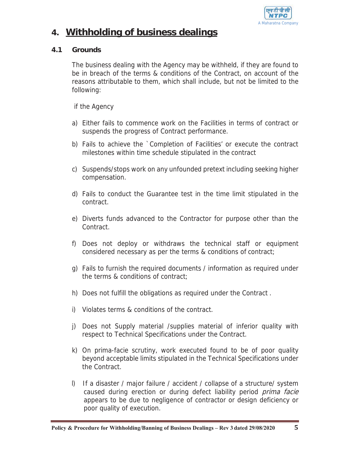

# **4. Withholding of business dealings**

#### **4.1 Grounds**

The business dealing with the Agency may be withheld, if they are found to be in breach of the terms & conditions of the Contract, on account of the reasons attributable to them, which shall include, but not be limited to the following:

if the Agency

- a) Either fails to commence work on the Facilities in terms of contract or suspends the progress of Contract performance.
- b) Fails to achieve the `Completion of Facilities' or execute the contract milestones within time schedule stipulated in the contract
- c) Suspends/stops work on any unfounded pretext including seeking higher compensation.
- d) Fails to conduct the Guarantee test in the time limit stipulated in the contract.
- e) Diverts funds advanced to the Contractor for purpose other than the Contract.
- f) Does not deploy or withdraws the technical staff or equipment considered necessary as per the terms & conditions of contract;
- g) Fails to furnish the required documents / information as required under the terms & conditions of contract;
- h) Does not fulfill the obligations as required under the Contract .
- i) Violates terms & conditions of the contract.
- j) Does not Supply material /supplies material of inferior quality with respect to Technical Specifications under the Contract.
- k) On prima-facie scrutiny, work executed found to be of poor quality beyond acceptable limits stipulated in the Technical Specifications under the Contract.
- l) If a disaster / major failure / accident / collapse of a structure/ system caused during erection or during defect liability period prima facie appears to be due to negligence of contractor or design deficiency or poor quality of execution.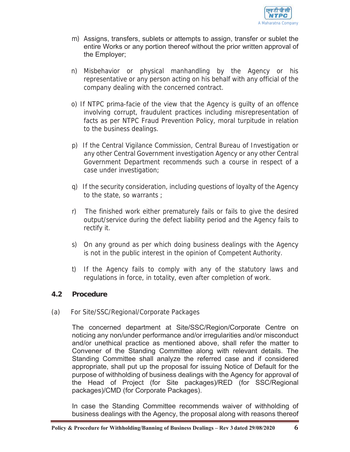

- m) Assigns, transfers, sublets or attempts to assign, transfer or sublet the entire Works or any portion thereof without the prior written approval of the Employer;
- n) Misbehavior or physical manhandling by the Agency or his representative or any person acting on his behalf with any official of the company dealing with the concerned contract.
- o) If NTPC prima-facie of the view that the Agency is guilty of an offence involving corrupt, fraudulent practices including misrepresentation of facts as per NTPC Fraud Prevention Policy, moral turpitude in relation to the business dealings.
- p) If the Central Vigilance Commission, Central Bureau of Investigation or any other Central Government investigation Agency or any other Central Government Department recommends such a course in respect of a case under investigation;
- q) If the security consideration, including questions of loyalty of the Agency to the state, so warrants ;
- r) The finished work either prematurely fails or fails to give the desired output/service during the defect liability period and the Agency fails to rectify it.
- s) On any ground as per which doing business dealings with the Agency is not in the public interest in the opinion of Competent Authority.
- t) If the Agency fails to comply with any of the statutory laws and regulations in force, in totality, even after completion of work.

### **4.2 Procedure**

(a) For Site/SSC/Regional/Corporate Packages

The concerned department at Site/SSC/Region/Corporate Centre on noticing any non/under performance and/or irregularities and/or misconduct and/or unethical practice as mentioned above, shall refer the matter to Convener of the Standing Committee along with relevant details. The Standing Committee shall analyze the referred case and if considered appropriate, shall put up the proposal for issuing Notice of Default for the purpose of withholding of business dealings with the Agency for approval of the Head of Project (for Site packages)/RED (for SSC/Regional packages)/CMD (for Corporate Packages).

In case the Standing Committee recommends waiver of withholding of business dealings with the Agency, the proposal along with reasons thereof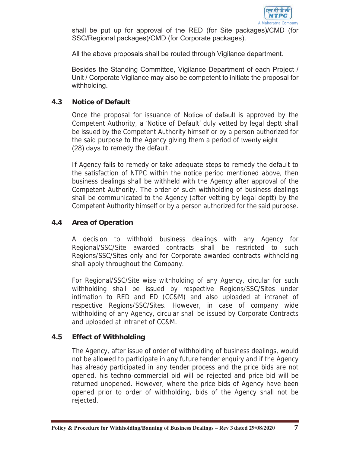

shall be put up for approval of the RED (for Site packages)/CMD (for SSC/Regional packages)/CMD (for Corporate packages).

All the above proposals shall be routed through Vigilance department.

Besides the Standing Committee, Vigilance Department of each Project / Unit / Corporate Vigilance may also be competent to initiate the proposal for withholding.

#### **4.3 Notice of Default**

Once the proposal for issuance of Notice of default is approved by the Competent Authority, a 'Notice of Default' duly vetted by legal deptt shall be issued by the Competent Authority himself or by a person authorized for the said purpose to the Agency giving them a period of twenty eight (28) days to remedy the default.

If Agency fails to remedy or take adequate steps to remedy the default to the satisfaction of NTPC within the notice period mentioned above, then business dealings shall be withheld with the Agency after approval of the Competent Authority. The order of such withholding of business dealings shall be communicated to the Agency (after vetting by legal deptt) by the Competent Authority himself or by a person authorized for the said purpose.

#### **4.4 Area of Operation**

A decision to withhold business dealings with any Agency for Regional/SSC/Site awarded contracts shall be restricted to such Regions/SSC/Sites only and for Corporate awarded contracts withholding shall apply throughout the Company.

For Regional/SSC/Site wise withholding of any Agency, circular for such withholding shall be issued by respective Regions/SSC/Sites under intimation to RED and ED (CC&M) and also uploaded at intranet of respective Regions/SSC/Sites. However, in case of company wide withholding of any Agency, circular shall be issued by Corporate Contracts and uploaded at intranet of CC&M.

### **4.5 Effect of Withholding**

The Agency, after issue of order of withholding of business dealings, would not be allowed to participate in any future tender enquiry and if the Agency has already participated in any tender process and the price bids are not opened, his techno-commercial bid will be rejected and price bid will be returned unopened. However, where the price bids of Agency have been opened prior to order of withholding, bids of the Agency shall not be rejected.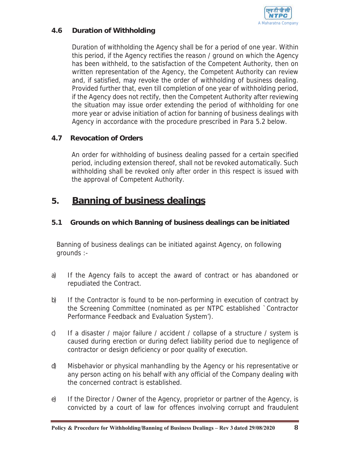

# **4.6 Duration of Withholding**

Duration of withholding the Agency shall be for a period of one year. Within this period, if the Agency rectifies the reason / ground on which the Agency has been withheld, to the satisfaction of the Competent Authority, then on written representation of the Agency, the Competent Authority can review and, if satisfied, may revoke the order of withholding of business dealing. Provided further that, even till completion of one year of withholding period, if the Agency does not rectify, then the Competent Authority after reviewing the situation may issue order extending the period of withholding for one more year or advise initiation of action for banning of business dealings with Agency in accordance with the procedure prescribed in Para 5.2 below.

# **4.7 Revocation of Orders**

An order for withholding of business dealing passed for a certain specified period, including extension thereof, shall not be revoked automatically. Such withholding shall be revoked only after order in this respect is issued with the approval of Competent Authority.

# **5. Banning of business dealings**

#### **5.1 Grounds on which Banning of business dealings can be initiated**

Banning of business dealings can be initiated against Agency, on following grounds :-

- a) If the Agency fails to accept the award of contract or has abandoned or repudiated the Contract.
- b) If the Contractor is found to be non-performing in execution of contract by the Screening Committee (nominated as per NTPC established `Contractor Performance Feedback and Evaluation System').
- c) If a disaster / major failure / accident / collapse of a structure / system is caused during erection or during defect liability period due to negligence of contractor or design deficiency or poor quality of execution.
- d) Misbehavior or physical manhandling by the Agency or his representative or any person acting on his behalf with any official of the Company dealing with the concerned contract is established.
- e) If the Director / Owner of the Agency, proprietor or partner of the Agency, is convicted by a court of law for offences involving corrupt and fraudulent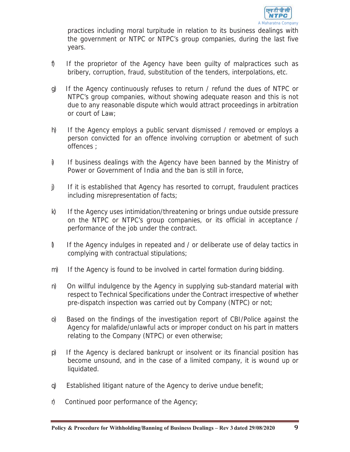

practices including moral turpitude in relation to its business dealings with the government or NTPC or NTPC's group companies, during the last five years.

- f) If the proprietor of the Agency have been guilty of malpractices such as bribery, corruption, fraud, substitution of the tenders, interpolations, etc.
- g) If the Agency continuously refuses to return / refund the dues of NTPC or NTPC's group companies, without showing adequate reason and this is not due to any reasonable dispute which would attract proceedings in arbitration or court of Law;
- h) If the Agency employs a public servant dismissed / removed or employs a person convicted for an offence involving corruption or abetment of such offences ;
- i) If business dealings with the Agency have been banned by the Ministry of Power or Government of India and the ban is still in force,
- j) If it is established that Agency has resorted to corrupt, fraudulent practices including misrepresentation of facts;
- k) If the Agency uses intimidation/threatening or brings undue outside pressure on the NTPC or NTPC's group companies, or its official in acceptance / performance of the job under the contract.
- l) If the Agency indulges in repeated and / or deliberate use of delay tactics in complying with contractual stipulations;
- m) If the Agency is found to be involved in cartel formation during bidding.
- n) On willful indulgence by the Agency in supplying sub-standard material with respect to Technical Specifications under the Contract irrespective of whether pre-dispatch inspection was carried out by Company (NTPC) or not;
- o) Based on the findings of the investigation report of CBI/Police against the Agency for malafide/unlawful acts or improper conduct on his part in matters relating to the Company (NTPC) or even otherwise;
- p) If the Agency is declared bankrupt or insolvent or its financial position has become unsound, and in the case of a limited company, it is wound up or liquidated.
- q) Established litigant nature of the Agency to derive undue benefit;
- r) Continued poor performance of the Agency;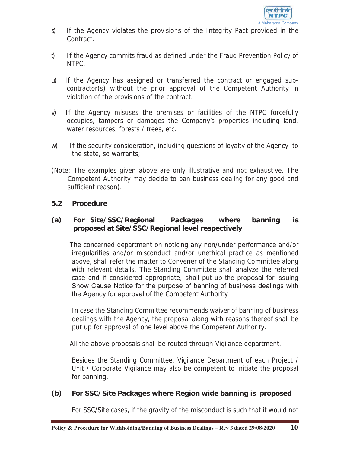

- s) If the Agency violates the provisions of the Integrity Pact provided in the Contract.
- t) If the Agency commits fraud as defined under the Fraud Prevention Policy of NTPC.
- u) If the Agency has assigned or transferred the contract or engaged subcontractor(s) without the prior approval of the Competent Authority in violation of the provisions of the contract.
- v) If the Agency misuses the premises or facilities of the NTPC forcefully occupies, tampers or damages the Company's properties including land, water resources, forests / trees, etc.
- w) If the security consideration, including questions of loyalty of the Agency to the state, so warrants;
- (Note: The examples given above are only illustrative and not exhaustive. The Competent Authority may decide to ban business dealing for any good and sufficient reason).

### **5.2 Procedure**

#### **(a) For Site/SSC/Regional Packages where banning is proposed at Site/SSC/Regional level respectively**

The concerned department on noticing any non/under performance and/or irregularities and/or misconduct and/or unethical practice as mentioned above, shall refer the matter to Convener of the Standing Committee along with relevant details. The Standing Committee shall analyze the referred case and if considered appropriate, shall put up the proposal for issuing Show Cause Notice for the purpose of banning of business dealings with the Agency for approval of the Competent Authority

In case the Standing Committee recommends waiver of banning of business dealings with the Agency, the proposal along with reasons thereof shall be put up for approval of one level above the Competent Authority.

All the above proposals shall be routed through Vigilance department.

Besides the Standing Committee, Vigilance Department of each Project / Unit / Corporate Vigilance may also be competent to initiate the proposal for banning.

### **(b) For SSC/Site Packages where Region wide banning is proposed**

For SSC/Site cases, if the gravity of the misconduct is such that it would not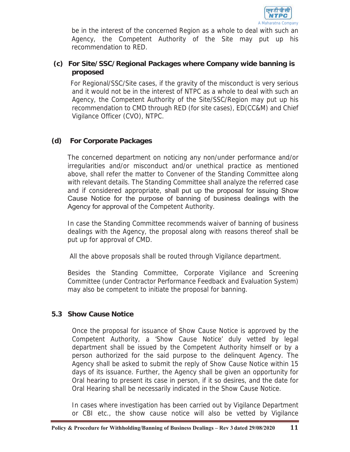

be in the interest of the concerned Region as a whole to deal with such an Agency, the Competent Authority of the Site may put up his recommendation to RED.

### **(c) For Site/SSC/Regional Packages where Company wide banning is proposed**

For Regional/SSC/Site cases, if the gravity of the misconduct is very serious and it would not be in the interest of NTPC as a whole to deal with such an Agency, the Competent Authority of the Site/SSC/Region may put up his recommendation to CMD through RED (for site cases), ED(CC&M) and Chief Vigilance Officer (CVO), NTPC.

### **(d) For Corporate Packages**

The concerned department on noticing any non/under performance and/or irregularities and/or misconduct and/or unethical practice as mentioned above, shall refer the matter to Convener of the Standing Committee along with relevant details. The Standing Committee shall analyze the referred case and if considered appropriate, shall put up the proposal for issuing Show Cause Notice for the purpose of banning of business dealings with the Agency for approval of the Competent Authority.

In case the Standing Committee recommends waiver of banning of business dealings with the Agency, the proposal along with reasons thereof shall be put up for approval of CMD.

All the above proposals shall be routed through Vigilance department.

Besides the Standing Committee, Corporate Vigilance and Screening Committee (under Contractor Performance Feedback and Evaluation System) may also be competent to initiate the proposal for banning.

### **5.3 Show Cause Notice**

Once the proposal for issuance of Show Cause Notice is approved by the Competent Authority, a 'Show Cause Notice' duly vetted by legal department shall be issued by the Competent Authority himself or by a person authorized for the said purpose to the delinquent Agency. The Agency shall be asked to submit the reply of Show Cause Notice within 15 days of its issuance. Further, the Agency shall be given an opportunity for Oral hearing to present its case in person, if it so desires, and the date for Oral Hearing shall be necessarily indicated in the Show Cause Notice.

In cases where investigation has been carried out by Vigilance Department or CBI etc., the show cause notice will also be vetted by Vigilance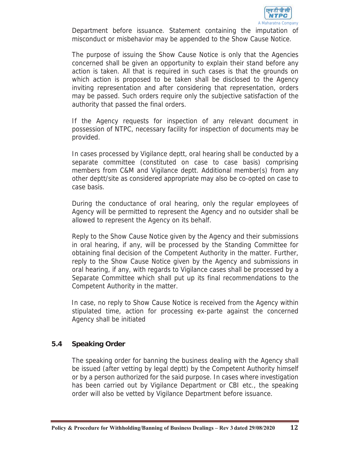

Department before issuance. Statement containing the imputation of misconduct or misbehavior may be appended to the Show Cause Notice.

The purpose of issuing the Show Cause Notice is only that the Agencies concerned shall be given an opportunity to explain their stand before any action is taken. All that is required in such cases is that the grounds on which action is proposed to be taken shall be disclosed to the Agency inviting representation and after considering that representation, orders may be passed. Such orders require only the subjective satisfaction of the authority that passed the final orders.

If the Agency requests for inspection of any relevant document in possession of NTPC, necessary facility for inspection of documents may be provided.

In cases processed by Vigilance deptt, oral hearing shall be conducted by a separate committee (constituted on case to case basis) comprising members from C&M and Vigilance deptt. Additional member(s) from any other deptt/site as considered appropriate may also be co-opted on case to case basis.

During the conductance of oral hearing, only the regular employees of Agency will be permitted to represent the Agency and no outsider shall be allowed to represent the Agency on its behalf.

Reply to the Show Cause Notice given by the Agency and their submissions in oral hearing, if any, will be processed by the Standing Committee for obtaining final decision of the Competent Authority in the matter. Further, reply to the Show Cause Notice given by the Agency and submissions in oral hearing, if any, with regards to Vigilance cases shall be processed by a Separate Committee which shall put up its final recommendations to the Competent Authority in the matter.

In case, no reply to Show Cause Notice is received from the Agency within stipulated time, action for processing ex-parte against the concerned Agency shall be initiated

### **5.4 Speaking Order**

The speaking order for banning the business dealing with the Agency shall be issued (after vetting by legal deptt) by the Competent Authority himself or by a person authorized for the said purpose. In cases where investigation has been carried out by Vigilance Department or CBI etc., the speaking order will also be vetted by Vigilance Department before issuance.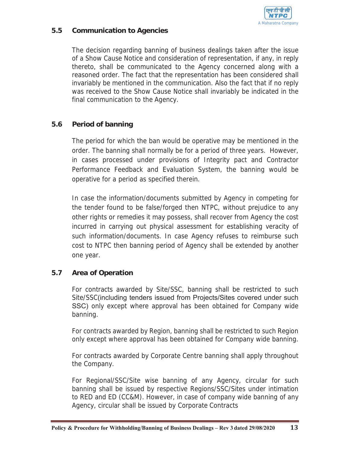

#### **5.5 Communication to Agencies**

The decision regarding banning of business dealings taken after the issue of a Show Cause Notice and consideration of representation, if any, in reply thereto, shall be communicated to the Agency concerned along with a reasoned order. The fact that the representation has been considered shall invariably be mentioned in the communication. Also the fact that if no reply was received to the Show Cause Notice shall invariably be indicated in the final communication to the Agency.

### **5.6 Period of banning**

The period for which the ban would be operative may be mentioned in the order. The banning shall normally be for a period of three years. However, in cases processed under provisions of Integrity pact and Contractor Performance Feedback and Evaluation System, the banning would be operative for a period as specified therein.

In case the information/documents submitted by Agency in competing for the tender found to be false/forged then NTPC, without prejudice to any other rights or remedies it may possess, shall recover from Agency the cost incurred in carrying out physical assessment for establishing veracity of such information/documents. In case Agency refuses to reimburse such cost to NTPC then banning period of Agency shall be extended by another one year.

### **5.7 Area of Operation**

For contracts awarded by Site/SSC, banning shall be restricted to such Site/SSC(including tenders issued from Projects/Sites covered under such SSC) only except where approval has been obtained for Company wide banning.

For contracts awarded by Region, banning shall be restricted to such Region only except where approval has been obtained for Company wide banning.

For contracts awarded by Corporate Centre banning shall apply throughout the Company.

For Regional/SSC/Site wise banning of any Agency, circular for such banning shall be issued by respective Regions/SSC/Sites under intimation to RED and ED (CC&M). However, in case of company wide banning of any Agency, circular shall be issued by Corporate Contracts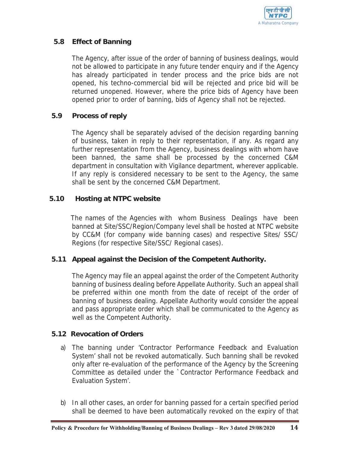

### **5.8 Effect of Banning**

The Agency, after issue of the order of banning of business dealings, would not be allowed to participate in any future tender enquiry and if the Agency has already participated in tender process and the price bids are not opened, his techno-commercial bid will be rejected and price bid will be returned unopened. However, where the price bids of Agency have been opened prior to order of banning, bids of Agency shall not be rejected.

### **5.9 Process of reply**

The Agency shall be separately advised of the decision regarding banning of business, taken in reply to their representation, if any. As regard any further representation from the Agency, business dealings with whom have been banned, the same shall be processed by the concerned C&M department in consultation with Vigilance department, wherever applicable. If any reply is considered necessary to be sent to the Agency, the same shall be sent by the concerned C&M Department.

### **5.10 Hosting at NTPC website**

The names of the Agencies with whom Business Dealings have been banned at Site/SSC/Region/Company level shall be hosted at NTPC website by CC&M (for company wide banning cases) and respective Sites/ SSC/ Regions (for respective Site/SSC/ Regional cases).

### **5.11 Appeal against the Decision of the Competent Authority.**

The Agency may file an appeal against the order of the Competent Authority banning of business dealing before Appellate Authority. Such an appeal shall be preferred within one month from the date of receipt of the order of banning of business dealing. Appellate Authority would consider the appeal and pass appropriate order which shall be communicated to the Agency as well as the Competent Authority.

### **5.12 Revocation of Orders**

- a) The banning under 'Contractor Performance Feedback and Evaluation System' shall not be revoked automatically. Such banning shall be revoked only after re-evaluation of the performance of the Agency by the Screening Committee as detailed under the `Contractor Performance Feedback and Evaluation System'.
- b) In all other cases, an order for banning passed for a certain specified period shall be deemed to have been automatically revoked on the expiry of that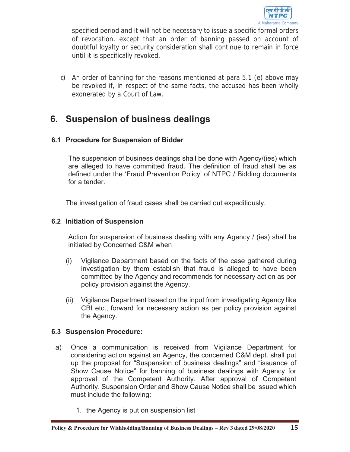

specified period and it will not be necessary to issue a specific formal orders of revocation, except that an order of banning passed on account of doubtful loyalty or security consideration shall continue to remain in force until it is specifically revoked.

c) An order of banning for the reasons mentioned at para 5.1 (e) above may be revoked if, in respect of the same facts, the accused has been wholly exonerated by a Court of Law.

# **6. Suspension of business dealings**

### **6.1 Procedure for Suspension of Bidder**

The suspension of business dealings shall be done with Agency/(ies) which are alleged to have committed fraud. The definition of fraud shall be as defined under the 'Fraud Prevention Policy' of NTPC / Bidding documents for a tender.

The investigation of fraud cases shall be carried out expeditiously.

#### **6.2 Initiation of Suspension**

Action for suspension of business dealing with any Agency / (ies) shall be initiated by Concerned C&M when

- (i) Vigilance Department based on the facts of the case gathered during investigation by them establish that fraud is alleged to have been committed by the Agency and recommends for necessary action as per policy provision against the Agency.
- (ii) Vigilance Department based on the input from investigating Agency like CBI etc., forward for necessary action as per policy provision against the Agency.

#### **6.3 Suspension Procedure:**

- a) Once a communication is received from Vigilance Department for considering action against an Agency, the concerned C&M dept. shall put up the proposal for "Suspension of business dealings" and "issuance of Show Cause Notice" for banning of business dealings with Agency for approval of the Competent Authority. After approval of Competent Authority, Suspension Order and Show Cause Notice shall be issued which must include the following:
	- 1. the Agency is put on suspension list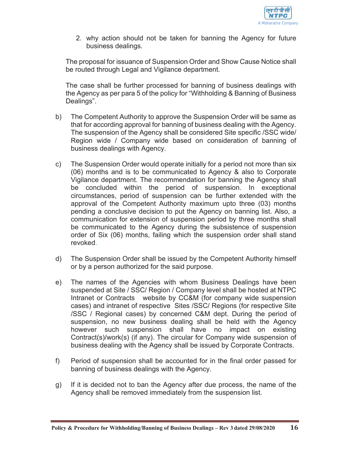

2. why action should not be taken for banning the Agency for future business dealings.

The proposal for issuance of Suspension Order and Show Cause Notice shall be routed through Legal and Vigilance department.

The case shall be further processed for banning of business dealings with the Agency as per para 5 of the policy for "Withholding & Banning of Business Dealings".

- b) The Competent Authority to approve the Suspension Order will be same as that for according approval for banning of business dealing with the Agency. The suspension of the Agency shall be considered Site specific /SSC wide/ Region wide / Company wide based on consideration of banning of business dealings with Agency.
- c) The Suspension Order would operate initially for a period not more than six (06) months and is to be communicated to Agency & also to Corporate Vigilance department. The recommendation for banning the Agency shall be concluded within the period of suspension. In exceptional circumstances, period of suspension can be further extended with the approval of the Competent Authority maximum upto three (03) months pending a conclusive decision to put the Agency on banning list. Also, a communication for extension of suspension period by three months shall be communicated to the Agency during the subsistence of suspension order of Six (06) months, failing which the suspension order shall stand revoked.
- d) The Suspension Order shall be issued by the Competent Authority himself or by a person authorized for the said purpose.
- e) The names of the Agencies with whom Business Dealings have been suspended at Site / SSC/ Region / Company level shall be hosted at NTPC Intranet or Contracts website by CC&M (for company wide suspension cases) and intranet of respective Sites /SSC/ Regions (for respective Site /SSC / Regional cases) by concerned C&M dept. During the period of suspension, no new business dealing shall be held with the Agency however such suspension shall have no impact on existing Contract(s)/work(s) (if any). The circular for Company wide suspension of business dealing with the Agency shall be issued by Corporate Contracts.
- f) Period of suspension shall be accounted for in the final order passed for banning of business dealings with the Agency.
- g) If it is decided not to ban the Agency after due process, the name of the Agency shall be removed immediately from the suspension list.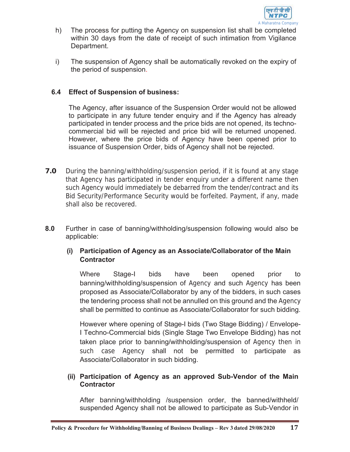

- h) The process for putting the Agency on suspension list shall be completed within 30 days from the date of receipt of such intimation from Vigilance Department.
- i) The suspension of Agency shall be automatically revoked on the expiry of the period of suspension.

#### **6.4 Effect of Suspension of business:**

The Agency, after issuance of the Suspension Order would not be allowed to participate in any future tender enquiry and if the Agency has already participated in tender process and the price bids are not opened, its technocommercial bid will be rejected and price bid will be returned unopened. However, where the price bids of Agency have been opened prior to issuance of Suspension Order, bids of Agency shall not be rejected.

- **7.0** During the banning/withholding/suspension period, if it is found at any stage that Agency has participated in tender enquiry under a different name then such Agency would immediately be debarred from the tender/contract and its Bid Security/Performance Security would be forfeited. Payment, if any, made shall also be recovered.
- **8.0** Further in case of banning/withholding/suspension following would also be applicable:

### **(i) Participation of Agency as an Associate/Collaborator of the Main Contractor**

Where Stage-I bids have been opened prior to banning/withholding/suspension of Agency and such Agency has been proposed as Associate/Collaborator by any of the bidders, in such cases the tendering process shall not be annulled on this ground and the Agency shall be permitted to continue as Associate/Collaborator for such bidding.

However where opening of Stage-I bids (Two Stage Bidding) / Envelope-I Techno-Commercial bids (Single Stage Two Envelope Bidding) has not taken place prior to banning/withholding/suspension of Agency then in such case Agency shall not be permitted to participate as Associate/Collaborator in such bidding.

#### **(ii) Participation of Agency as an approved Sub-Vendor of the Main Contractor**

After banning/withholding /suspension order, the banned/withheld/ suspended Agency shall not be allowed to participate as Sub-Vendor in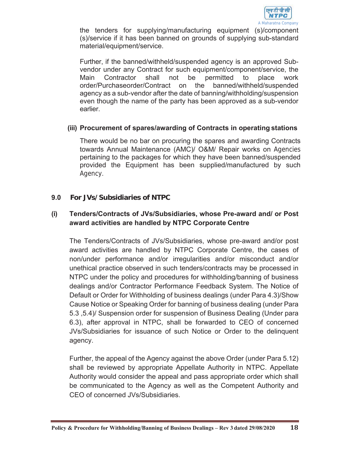

the tenders for supplying/manufacturing equipment (s)/component (s)/service if it has been banned on grounds of supplying sub-standard material/equipment/service.

Further, if the banned/withheld/suspended agency is an approved Subvendor under any Contract for such equipment/component/service, the Main Contractor shall not be permitted to place work order/Purchaseorder/Contract on the banned/withheld/suspended agency as a sub-vendor after the date of banning/withholding/suspension even though the name of the party has been approved as a sub-vendor earlier.

#### **(iii) Procurement of spares/awarding of Contracts in operating stations**

There would be no bar on procuring the spares and awarding Contracts towards Annual Maintenance (AMC)/ O&M/ Repair works on Agencies pertaining to the packages for which they have been banned/suspended provided the Equipment has been supplied/manufactured by such Agency.

### **9.0 For JVs/Subsidiaries of NTPC**

#### **(i) Tenders/Contracts of JVs/Subsidiaries, whose Pre-award and/ or Post award activities are handled by NTPC Corporate Centre**

The Tenders/Contracts of JVs/Subsidiaries, whose pre-award and/or post award activities are handled by NTPC Corporate Centre, the cases of non/under performance and/or irregularities and/or misconduct and/or unethical practice observed in such tenders/contracts may be processed in NTPC under the policy and procedures for withholding/banning of business dealings and/or Contractor Performance Feedback System. The Notice of Default or Order for Withholding of business dealings (under Para 4.3)/Show Cause Notice or Speaking Order for banning of business dealing (under Para 5.3 ,5.4)/ Suspension order for suspension of Business Dealing (Under para 6.3), after approval in NTPC, shall be forwarded to CEO of concerned JVs/Subsidiaries for issuance of such Notice or Order to the delinquent agency.

Further, the appeal of the Agency against the above Order (under Para 5.12) shall be reviewed by appropriate Appellate Authority in NTPC. Appellate Authority would consider the appeal and pass appropriate order which shall be communicated to the Agency as well as the Competent Authority and CEO of concerned JVs/Subsidiaries.